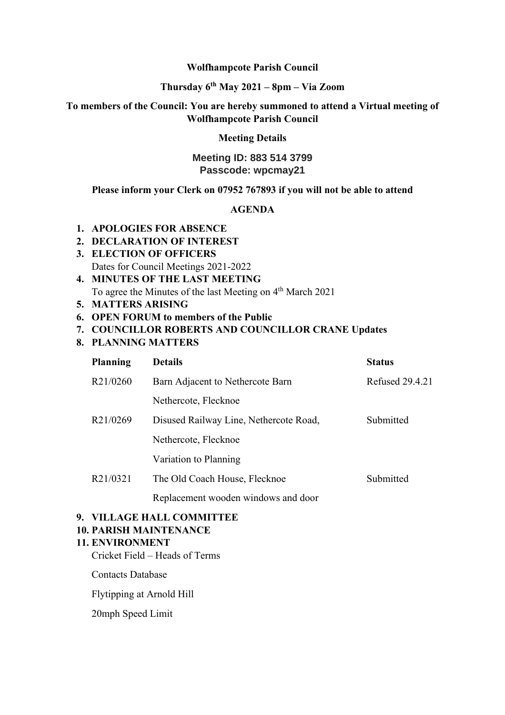#### **Wolfhampcote Parish Council**

## **Thursday 6th May 2021 – 8pm – Via Zoom**

## **To members of the Council: You are hereby summoned to attend a Virtual meeting of Wolfhampcote Parish Council**

### **Meeting Details**

## **Meeting ID: 883 514 3799 Passcode: wpcmay21**

#### **Please inform your Clerk on 07952 767893 if you will not be able to attend**

## **AGENDA**

- **1. APOLOGIES FOR ABSENCE**
- **2. DECLARATION OF INTEREST**
- **3. ELECTION OF OFFICERS** Dates for Council Meetings 2021-2022
- **4. MINUTES OF THE LAST MEETING** To agree the Minutes of the last Meeting on 4<sup>th</sup> March 2021
- **5. MATTERS ARISING**
- **6. OPEN FORUM to members of the Public**
- **7. COUNCILLOR ROBERTS AND COUNCILLOR CRANE Updates**
- **8. PLANNING MATTERS**

| <b>Planning</b> | <b>Details</b>                         | <b>Status</b>          |
|-----------------|----------------------------------------|------------------------|
| R21/0260        | Barn Adjacent to Nethercote Barn       | <b>Refused 29.4.21</b> |
|                 | Nethercote, Flecknoe                   |                        |
| R21/0269        | Disused Railway Line, Nethercote Road, | Submitted              |
|                 | Nethercote, Flecknoe                   |                        |
|                 | Variation to Planning                  |                        |
| R21/0321        | The Old Coach House, Flecknoe          | Submitted              |
|                 | Replacement wooden windows and door    |                        |

#### **9. VILLAGE HALL COMMITTEE**

#### **10. PARISH MAINTENANCE**

## **11. ENVIRONMENT**

Cricket Field – Heads of Terms

Contacts Database

Flytipping at Arnold Hill

20mph Speed Limit